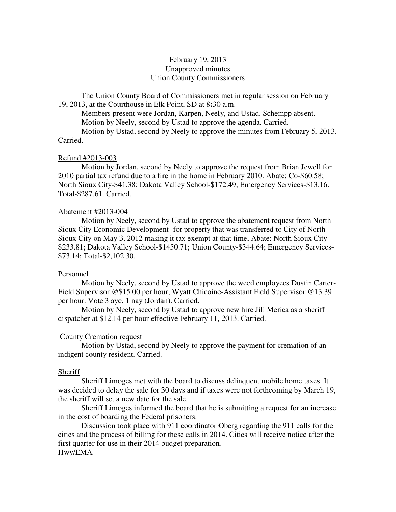# February 19, 2013 Unapproved minutes Union County Commissioners

The Union County Board of Commissioners met in regular session on February 19, 2013, at the Courthouse in Elk Point, SD at 8**:**30 a.m.

 Members present were Jordan, Karpen, Neely, and Ustad. Schempp absent. Motion by Neely, second by Ustad to approve the agenda. Carried.

 Motion by Ustad, second by Neely to approve the minutes from February 5, 2013. Carried.

#### Refund #2013-003

 Motion by Jordan, second by Neely to approve the request from Brian Jewell for 2010 partial tax refund due to a fire in the home in February 2010. Abate: Co-\$60.58; North Sioux City-\$41.38; Dakota Valley School-\$172.49; Emergency Services-\$13.16. Total-\$287.61. Carried.

#### Abatement #2013-004

 Motion by Neely, second by Ustad to approve the abatement request from North Sioux City Economic Development- for property that was transferred to City of North Sioux City on May 3, 2012 making it tax exempt at that time. Abate: North Sioux City- \$233.81; Dakota Valley School-\$1450.71; Union County-\$344.64; Emergency Services- \$73.14; Total-\$2,102.30.

## Personnel

 Motion by Neely, second by Ustad to approve the weed employees Dustin Carter-Field Supervisor @\$15.00 per hour, Wyatt Chicoine-Assistant Field Supervisor @13.39 per hour. Vote 3 aye, 1 nay (Jordan). Carried.

 Motion by Neely, second by Ustad to approve new hire Jill Merica as a sheriff dispatcher at \$12.14 per hour effective February 11, 2013. Carried.

## County Cremation request

 Motion by Ustad, second by Neely to approve the payment for cremation of an indigent county resident. Carried.

## **Sheriff**

 Sheriff Limoges met with the board to discuss delinquent mobile home taxes. It was decided to delay the sale for 30 days and if taxes were not forthcoming by March 19, the sheriff will set a new date for the sale.

 Sheriff Limoges informed the board that he is submitting a request for an increase in the cost of boarding the Federal prisoners.

 Discussion took place with 911 coordinator Oberg regarding the 911 calls for the cities and the process of billing for these calls in 2014. Cities will receive notice after the first quarter for use in their 2014 budget preparation.

## Hwy/EMA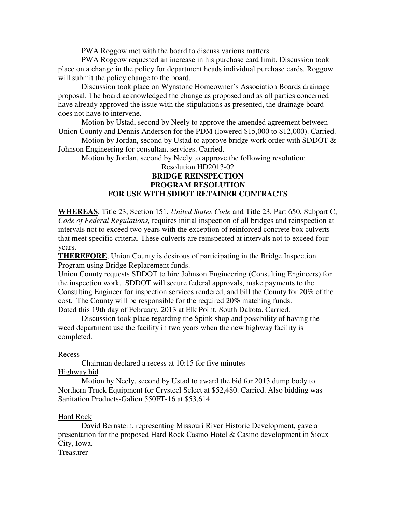PWA Roggow met with the board to discuss various matters.

 PWA Roggow requested an increase in his purchase card limit. Discussion took place on a change in the policy for department heads individual purchase cards. Roggow will submit the policy change to the board.

 Discussion took place on Wynstone Homeowner's Association Boards drainage proposal. The board acknowledged the change as proposed and as all parties concerned have already approved the issue with the stipulations as presented, the drainage board does not have to intervene.

 Motion by Ustad, second by Neely to approve the amended agreement between Union County and Dennis Anderson for the PDM (lowered \$15,000 to \$12,000). Carried.

Motion by Jordan, second by Ustad to approve bridge work order with SDDOT  $\&$ Johnson Engineering for consultant services. Carried.

Motion by Jordan, second by Neely to approve the following resolution:

# Resolution HD2013-02 **BRIDGE REINSPECTION PROGRAM RESOLUTION FOR USE WITH SDDOT RETAINER CONTRACTS**

**WHEREAS**, Title 23, Section 151, *United States Code* and Title 23, Part 650, Subpart C, *Code of Federal Regulations,* requires initial inspection of all bridges and reinspection at intervals not to exceed two years with the exception of reinforced concrete box culverts that meet specific criteria. These culverts are reinspected at intervals not to exceed four years.

**THEREFORE**, Union County is desirous of participating in the Bridge Inspection Program using Bridge Replacement funds.

Union County requests SDDOT to hire Johnson Engineering (Consulting Engineers) for the inspection work. SDDOT will secure federal approvals, make payments to the Consulting Engineer for inspection services rendered, and bill the County for 20% of the cost. The County will be responsible for the required 20% matching funds. Dated this 19th day of February, 2013 at Elk Point, South Dakota. Carried.

 Discussion took place regarding the Spink shop and possibility of having the weed department use the facility in two years when the new highway facility is completed.

#### Recess

 Chairman declared a recess at 10:15 for five minutes Highway bid

 Motion by Neely, second by Ustad to award the bid for 2013 dump body to Northern Truck Equipment for Crysteel Select at \$52,480. Carried. Also bidding was Sanitation Products-Galion 550FT-16 at \$53,614.

## Hard Rock

 David Bernstein, representing Missouri River Historic Development, gave a presentation for the proposed Hard Rock Casino Hotel & Casino development in Sioux City, Iowa.

Treasurer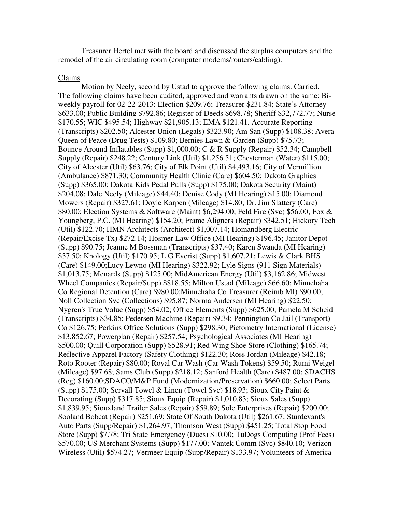Treasurer Hertel met with the board and discussed the surplus computers and the remodel of the air circulating room (computer modems/routers/cabling).

#### Claims

 Motion by Neely, second by Ustad to approve the following claims. Carried. The following claims have been audited, approved and warrants drawn on the same: Biweekly payroll for 02-22-2013: Election \$209.76; Treasurer \$231.84; State's Attorney \$633.00; Public Building \$792.86; Register of Deeds \$698.78; Sheriff \$32,772.77; Nurse \$170.55; WIC \$495.54; Highway \$21,905.13; EMA \$121.41. Accurate Reporting (Transcripts) \$202.50; Alcester Union (Legals) \$323.90; Am San (Supp) \$108.38; Avera Queen of Peace (Drug Tests) \$109.80; Bernies Lawn & Garden (Supp) \$75.73; Bounce Around Inflatables (Supp) \$1,000.00; C & R Supply (Repair) \$52.34; Campbell Supply (Repair) \$248.22; Century Link (Util) \$1,256.51; Chesterman (Water) \$115.00; City of Alcester (Util) \$63.76; City of Elk Point (Util) \$4,493.16; City of Vermillion (Ambulance) \$871.30; Community Health Clinic (Care) \$604.50; Dakota Graphics (Supp) \$365.00; Dakota Kids Pedal Pulls (Supp) \$175.00; Dakota Security (Maint) \$204.08; Dale Neely (Mileage) \$44.40; Denise Cody (MI Hearing) \$15.00; Diamond Mowers (Repair) \$327.61; Doyle Karpen (Mileage) \$14.80; Dr. Jim Slattery (Care) \$80.00; Election Systems & Software (Maint) \$6,294.00; Feld Fire (Svc) \$56.00; Fox & Youngberg, P.C. (MI Hearing) \$154.20; Frame Aligners (Repair) \$342.51; Hickory Tech (Util) \$122.70; HMN Architects (Architect) \$1,007.14; Homandberg Electric (Repair/Excise Tx) \$272.14; Hosmer Law Office (MI Hearing) \$196.45; Janitor Depot (Supp) \$90.75; Jeanne M Bossman (Transcripts) \$37.40; Karen Swanda (MI Hearing) \$37.50; Knology (Util) \$170.95; L G Everist (Supp) \$1,607.21; Lewis & Clark BHS (Care) \$149.00;Lucy Lewno (MI Hearing) \$322.92; Lyle Signs (911 Sign Materials) \$1,013.75; Menards (Supp) \$125.00; MidAmerican Energy (Util) \$3,162.86; Midwest Wheel Companies (Repair/Supp) \$818.55; Milton Ustad (Mileage) \$66.60; Minnehaha Co Regional Detention (Care) \$980.00;Minnehaha Co Treasurer (Reimb MI) \$90.00; Noll Collection Svc (Collections) \$95.87; Norma Andersen (MI Hearing) \$22.50; Nygren's True Value (Supp) \$54.02; Office Elements (Supp) \$625.00; Pamela M Scheid (Transcripts) \$34.85; Pedersen Machine (Repair) \$9.34; Pennington Co Jail (Transport) Co \$126.75; Perkins Office Solutions (Supp) \$298.30; Pictometry International (License) \$13,852.67; Powerplan (Repair) \$257.54; Psychological Associates (MI Hearing) \$500.00; Quill Corporation (Supp) \$528.91; Red Wing Shoe Store (Clothing) \$165.74; Reflective Apparel Factory (Safety Clothing) \$122.30; Ross Jordan (Mileage) \$42.18; Roto Rooter (Repair) \$80.00; Royal Car Wash (Car Wash Tokens) \$59.50; Rumi Weigel (Mileage) \$97.68; Sams Club (Supp) \$218.12; Sanford Health (Care) \$487.00; SDACHS (Reg) \$160.00;SDACO/M&P Fund (Modernization/Preservation) \$660.00; Select Parts (Supp) \$175.00; Servall Towel & Linen (Towel Svc) \$18.93; Sioux City Paint & Decorating (Supp) \$317.85; Sioux Equip (Repair) \$1,010.83; Sioux Sales (Supp) \$1,839.95; Siouxland Trailer Sales (Repair) \$59.89; Sole Enterprises (Repair) \$200.00; Sooland Bobcat (Repair) \$251.69; State Of South Dakota (Util) \$261.67; Sturdevant's Auto Parts (Supp/Repair) \$1,264.97; Thomson West (Supp) \$451.25; Total Stop Food Store (Supp) \$7.78; Tri State Emergency (Dues) \$10.00; TuDogs Computing (Prof Fees) \$570.00; US Merchant Systems (Supp) \$177.00; Vantek Comm (Svc) \$840.10; Verizon Wireless (Util) \$574.27; Vermeer Equip (Supp/Repair) \$133.97; Volunteers of America